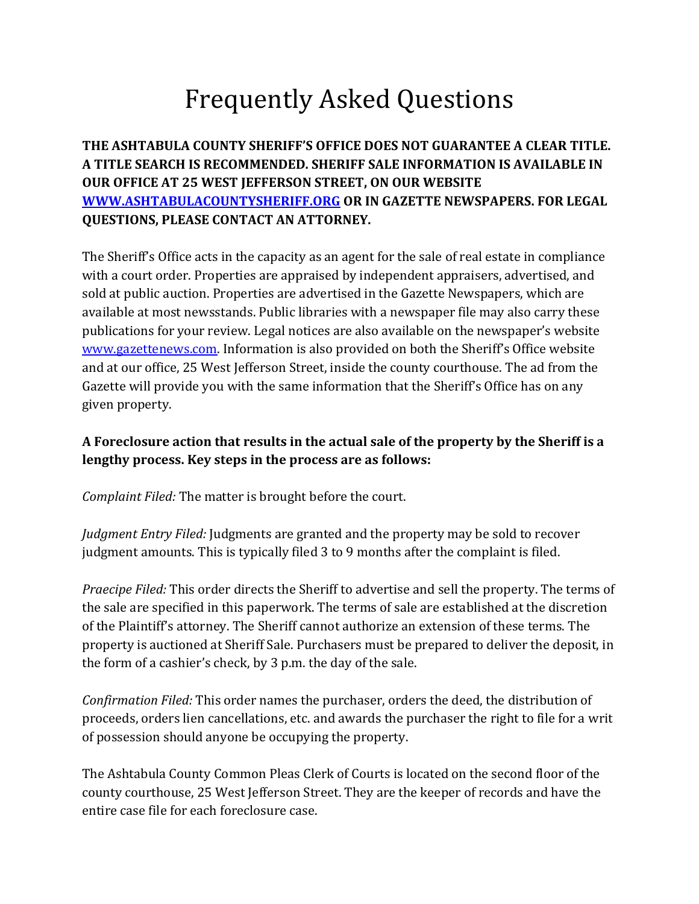# Frequently Asked Questions

# **THE ASHTABULA COUNTY SHERIFF'S OFFICE DOES NOT GUARANTEE A CLEAR TITLE. A TITLE SEARCH IS RECOMMENDED. SHERIFF SALE INFORMATION IS AVAILABLE IN OUR OFFICE AT 25 WEST JEFFERSON STREET, ON OUR WEBSITE [WWW.ASHTABULACOUNTYSHERIFF.ORG](http://www.ashtabulacountysheriff.org/) OR IN GAZETTE NEWSPAPERS. FOR LEGAL QUESTIONS, PLEASE CONTACT AN ATTORNEY.**

The Sheriff's Office acts in the capacity as an agent for the sale of real estate in compliance with a court order. Properties are appraised by independent appraisers, advertised, and sold at public auction. Properties are advertised in the Gazette Newspapers, which are available at most newsstands. Public libraries with a newspaper file may also carry these publications for your review. Legal notices are also available on the newspaper's website [www.gazettenews.com](http://www.gazettenews.com/). Information is also provided on both the Sheriff's Office website and at our office, 25 West Jefferson Street, inside the county courthouse. The ad from the Gazette will provide you with the same information that the Sheriff's Office has on any given property.

## **A Foreclosure action that results in the actual sale of the property by the Sheriff is a lengthy process. Key steps in the process are as follows:**

*Complaint Filed:* The matter is brought before the court.

*Judgment Entry Filed:* Judgments are granted and the property may be sold to recover judgment amounts. This is typically filed 3 to 9 months after the complaint is filed.

*Praecipe Filed:* This order directs the Sheriff to advertise and sell the property. The terms of the sale are specified in this paperwork. The terms of sale are established at the discretion of the Plaintiff's attorney. The Sheriff cannot authorize an extension of these terms. The property is auctioned at Sheriff Sale. Purchasers must be prepared to deliver the deposit, in the form of a cashier's check, by 3 p.m. the day of the sale.

*Confirmation Filed:* This order names the purchaser, orders the deed, the distribution of proceeds, orders lien cancellations, etc. and awards the purchaser the right to file for a writ of possession should anyone be occupying the property.

The Ashtabula County Common Pleas Clerk of Courts is located on the second floor of the county courthouse, 25 West Jefferson Street. They are the keeper of records and have the entire case file for each foreclosure case.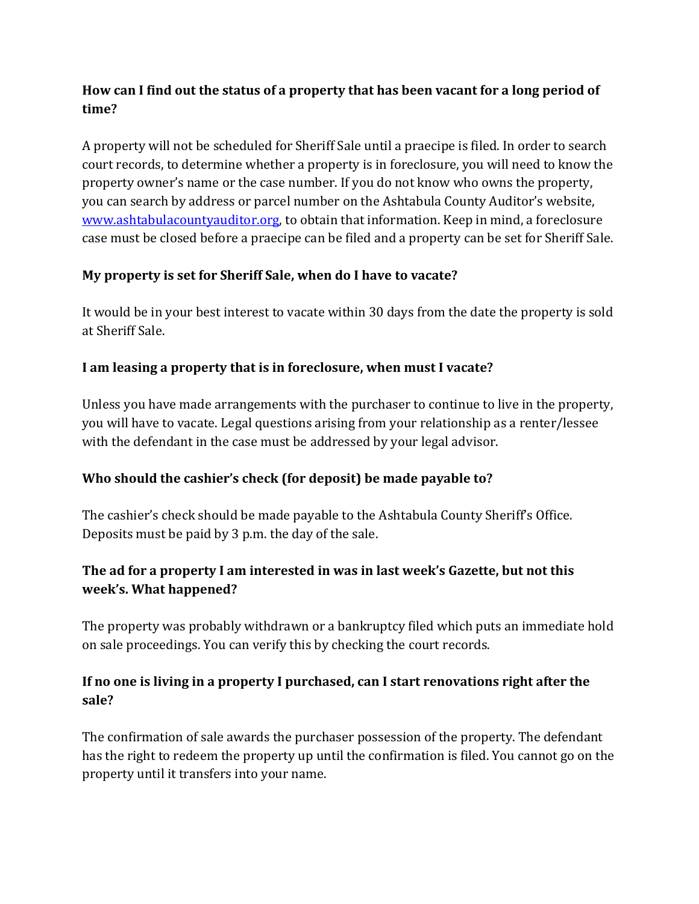# **How can I find out the status of a property that has been vacant for a long period of time?**

A property will not be scheduled for Sheriff Sale until a praecipe is filed. In order to search court records, to determine whether a property is in foreclosure, you will need to know the property owner's name or the case number. If you do not know who owns the property, you can search by address or parcel number on the Ashtabula County Auditor's website, [www.ashtabulacountyauditor.org,](http://www.ashtabulacountyauditor.org/) to obtain that information. Keep in mind, a foreclosure case must be closed before a praecipe can be filed and a property can be set for Sheriff Sale.

# **My property is set for Sheriff Sale, when do I have to vacate?**

It would be in your best interest to vacate within 30 days from the date the property is sold at Sheriff Sale.

#### **I am leasing a property that is in foreclosure, when must I vacate?**

Unless you have made arrangements with the purchaser to continue to live in the property, you will have to vacate. Legal questions arising from your relationship as a renter/lessee with the defendant in the case must be addressed by your legal advisor.

# **Who should the cashier's check (for deposit) be made payable to?**

The cashier's check should be made payable to the Ashtabula County Sheriff's Office. Deposits must be paid by 3 p.m. the day of the sale.

# **The ad for a property I am interested in was in last week's Gazette, but not this week's. What happened?**

The property was probably withdrawn or a bankruptcy filed which puts an immediate hold on sale proceedings. You can verify this by checking the court records.

# **If no one is living in a property I purchased, can I start renovations right after the sale?**

The confirmation of sale awards the purchaser possession of the property. The defendant has the right to redeem the property up until the confirmation is filed. You cannot go on the property until it transfers into your name.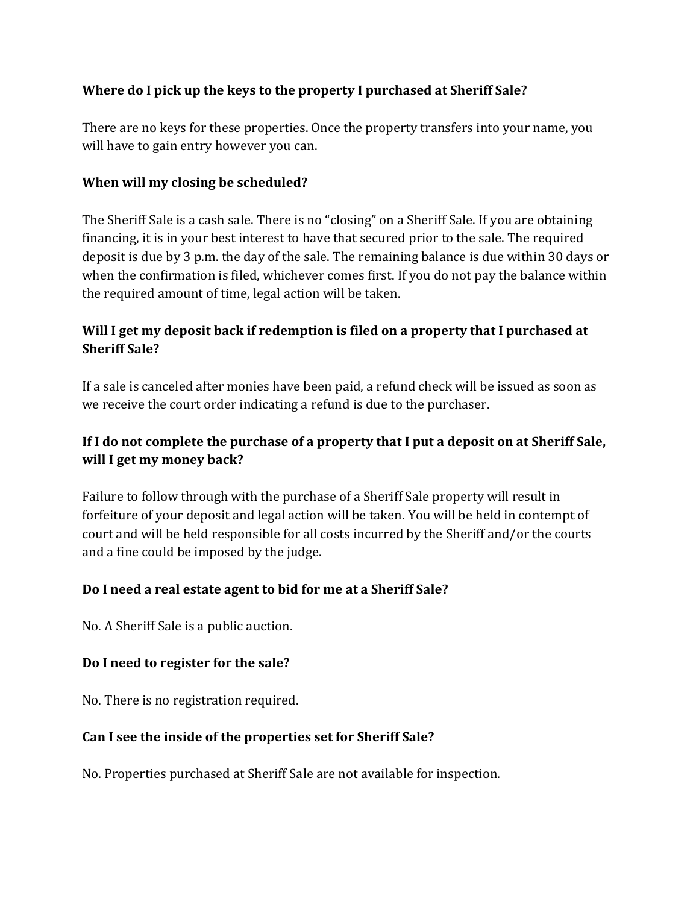#### **Where do I pick up the keys to the property I purchased at Sheriff Sale?**

There are no keys for these properties. Once the property transfers into your name, you will have to gain entry however you can.

#### **When will my closing be scheduled?**

The Sheriff Sale is a cash sale. There is no "closing" on a Sheriff Sale. If you are obtaining financing, it is in your best interest to have that secured prior to the sale. The required deposit is due by 3 p.m. the day of the sale. The remaining balance is due within 30 days or when the confirmation is filed, whichever comes first. If you do not pay the balance within the required amount of time, legal action will be taken.

## **Will I get my deposit back if redemption is filed on a property that I purchased at Sheriff Sale?**

If a sale is canceled after monies have been paid, a refund check will be issued as soon as we receive the court order indicating a refund is due to the purchaser.

# **If I do not complete the purchase of a property that I put a deposit on at Sheriff Sale, will I get my money back?**

Failure to follow through with the purchase of a Sheriff Sale property will result in forfeiture of your deposit and legal action will be taken. You will be held in contempt of court and will be held responsible for all costs incurred by the Sheriff and/or the courts and a fine could be imposed by the judge.

#### **Do I need a real estate agent to bid for me at a Sheriff Sale?**

No. A Sheriff Sale is a public auction.

#### **Do I need to register for the sale?**

No. There is no registration required.

#### **Can I see the inside of the properties set for Sheriff Sale?**

No. Properties purchased at Sheriff Sale are not available for inspection.